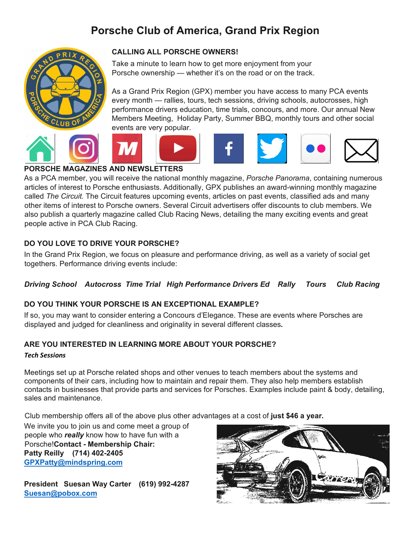# **Porsche Club of America, Grand Prix Region**



## **CALLING ALL PORSCHE OWNERS!**

Take a minute to learn how to get more enjoyment from your Porsche ownership — whether it's on the road or on the track.

As a Grand Prix Region (GPX) member you have access to many PCA events every month — rallies, tours, tech sessions, driving schools, autocrosses, high performance drivers education, time trials, concours, and more. Our annual New Members Meeting, Holiday Party, Summer BBQ, monthly tours and other social events are very popular.



#### **PORSCHE MAGAZINES AND NEWSLETTERS**

As a PCA member, you will receive the national monthly magazine, *Porsche Panorama*, containing numerous articles of interest to Porsche enthusiasts. Additionally, GPX publishes an award-winning monthly magazine called *The Circuit.* The Circuit features upcoming events, articles on past events, classified ads and many other items of interest to Porsche owners. Several Circuit advertisers offer discounts to club members. We also publish a quarterly magazine called Club Racing News, detailing the many exciting events and great people active in PCA Club Racing.

## **DO YOU LOVE TO DRIVE YOUR PORSCHE?**

In the Grand Prix Region, we focus on pleasure and performance driving, as well as a variety of social get togethers. Performance driving events include:

## *Driving School Autocross Time Trial High Performance Drivers Ed Rally Tours Club Racing*

## **DO YOU THINK YOUR PORSCHE IS AN EXCEPTIONAL EXAMPLE?**

If so, you may want to consider entering a Concours d'Elegance. These are events where Porsches are displayed and judged for cleanliness and originality in several different classes*.*

## **ARE YOU INTERESTED IN LEARNING MORE ABOUT YOUR PORSCHE?**

#### *Tech Sessions*

Meetings set up at Porsche related shops and other venues to teach members about the systems and components of their cars, including how to maintain and repair them. They also help members establish contacts in businesses that provide parts and services for Porsches. Examples include paint & body, detailing, sales and maintenance.

Club membership offers all of the above plus other advantages at a cost of **just \$46 a year.**

We invite you to join us and come meet a group of people who *really* know how to have fun with a Porsche!**Contact - Membership Chair: Patty Reilly (714) 402-2405 [GPXPatty@mindspring.com](mailto:GPXPatty@mindspring.com)**

**President Suesan Way Carter (619) 992-4287 [Suesan@pobox.com](mailto:Suesan@pobox.com)**